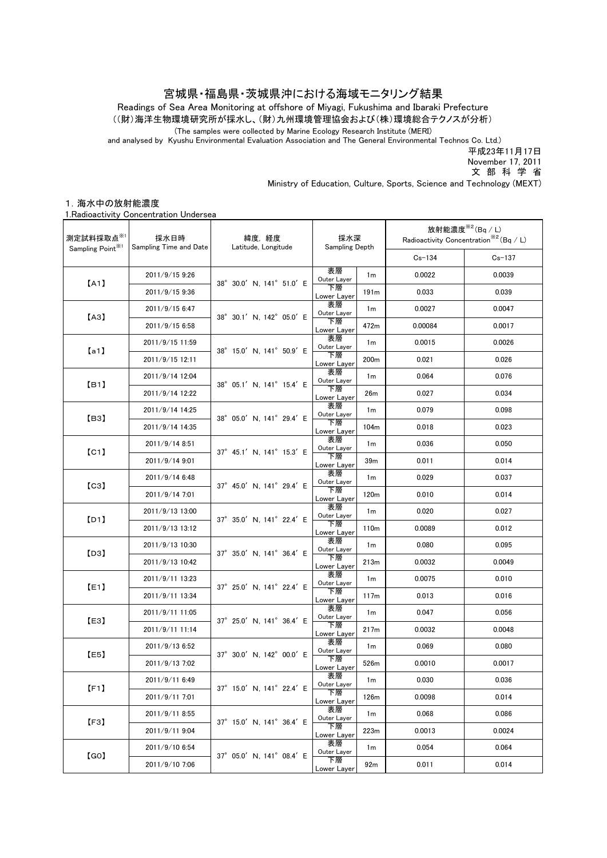## 宮城県・福島県・茨城県沖における海域モニタリング結果

((財)海洋生物環境研究所が採水し、(財)九州環境管理協会および(株)環境総合テクノスが分析) Readings of Sea Area Monitoring at offshore of Miyagi, Fukushima and Ibaraki Prefecture

(The samples were collected by Marine Ecology Research Institute (MERI)

and analysed by Kyushu Environmental Evaluation Association and The General Environmental Technos Co. Ltd.)

平成23年11月17日

November 17, 2011

文 部 科 学 省

Ministry of Education, Culture, Sports, Science and Technology (MEXT)

## 1.海水中の放射能濃度

1.Radioactivity Concentration Undersea

| 測定試料採取点※1                     | 採水日時<br>Sampling Time and Date | 緯度,経度<br>Latitude, Longitude | 採水深<br>Sampling Depth |                  | 放射能濃度 <sup>※2</sup> (Bq / L)<br>Radioactivity Concentration <sup>**2</sup> (Bq / L) |            |
|-------------------------------|--------------------------------|------------------------------|-----------------------|------------------|-------------------------------------------------------------------------------------|------------|
| Sampling Point <sup>361</sup> |                                |                              |                       |                  | $Cs - 134$                                                                          | $Cs - 137$ |
| [A1]                          | 2011/9/15 9:26                 | 38° 30.0' N, 141° 51.0' E    | 表層<br>Outer Layer     | 1 <sub>m</sub>   | 0.0022                                                                              | 0.0039     |
|                               | 2011/9/15 9:36                 |                              | 下層<br>Lower Layer     | 191m             | 0.033                                                                               | 0.039      |
| [AA]                          | 2011/9/15 6:47                 | 38° 30.1' N, 142° 05.0' E    | 表層<br>Outer Layer     | 1 <sub>m</sub>   | 0.0027                                                                              | 0.0047     |
|                               | 2011/9/15 6:58                 |                              | 下層<br>Lower Layer     | 472m             | 0.00084                                                                             | 0.0017     |
| [a1]                          | 2011/9/15 11:59                | 38° 15.0' N. 141° 50.9' E    | 表層<br>Outer Layer     | 1 <sub>m</sub>   | 0.0015                                                                              | 0.0026     |
|                               | 2011/9/15 12:11                |                              | 下層<br>Lower Layer     | 200 <sub>m</sub> | 0.021                                                                               | 0.026      |
| [ <b>B</b> 1]                 | 2011/9/14 12:04                | 38° 05.1' N, 141° 15.4' E    | 表層<br>Outer Layer     | 1 <sub>m</sub>   | 0.064                                                                               | 0.076      |
|                               | 2011/9/14 12:22                |                              | 下層<br>Lower Layer     | 26 <sub>m</sub>  | 0.027                                                                               | 0.034      |
| [B3]                          | 2011/9/14 14:25                | 38° 05.0' N, 141° 29.4' E    | 表層<br>Outer Layer     | 1 <sub>m</sub>   | 0.079                                                                               | 0.098      |
|                               | 2011/9/14 14:35                |                              | 下層<br>Lower Layer     | 104 <sub>m</sub> | 0.018                                                                               | 0.023      |
| [CI]                          | 2011/9/14 8:51                 |                              | 表層<br>Outer Layer     | 1 <sub>m</sub>   | 0.036                                                                               | 0.050      |
|                               | 2011/9/14 9:01                 | 37° 45.1' N, 141° 15.3' E    | 下層<br>Lower Layer     | 39m              | 0.011                                                                               | 0.014      |
| [C3]                          | 2011/9/14 6:48                 | 37° 45.0' N. 141° 29.4' E    | 表層<br>Outer Layer     | 1 <sub>m</sub>   | 0.029                                                                               | 0.037      |
|                               | 2011/9/14 7:01                 |                              | 下層<br>Lower Layer     | 120 <sub>m</sub> | 0.010                                                                               | 0.014      |
| [D1]                          | 2011/9/13 13:00                | 37° 35.0' N, 141° 22.4' E    | 表層<br>Outer Layer     | 1 <sub>m</sub>   | 0.020                                                                               | 0.027      |
|                               | 2011/9/13 13:12                |                              | 下層<br>Lower Layer     | 110 <sub>m</sub> | 0.0089                                                                              | 0.012      |
| [D3]                          | 2011/9/13 10:30                | 37° 35.0' N, 141° 36.4' E    | 表層<br>Outer Layer     | 1 <sub>m</sub>   | 0.080                                                                               | 0.095      |
|                               | 2011/9/13 10:42                |                              | 下層<br>Lower Layer     | 213m             | 0.0032                                                                              | 0.0049     |
| E1                            | 2011/9/11 13:23                | 37° 25.0' N, 141° 22.4' E    | 表層<br>Outer Layer     | 1 <sub>m</sub>   | 0.0075                                                                              | 0.010      |
|                               | 2011/9/11 13:34                |                              | 下層<br>Lower Layer     | 117m             | 0.013                                                                               | 0.016      |
| [E3]                          | 2011/9/11 11:05                | 37° 25.0' N, 141° 36.4' E    | 表層<br>Outer Layer     | 1 <sub>m</sub>   | 0.047                                                                               | 0.056      |
|                               | 2011/9/11 11:14                |                              | 下層<br>Lower Layer     | 217m             | 0.0032                                                                              | 0.0048     |
| [E5]                          | 2011/9/13 6:52                 | 37° 30.0' N, 142° 00.0' E    | 表層<br>Outer Layer     | 1 <sub>m</sub>   | 0.069                                                                               | 0.080      |
|                               | 2011/9/13 7:02                 |                              | 下層<br>Lower Layer     | 526m             | 0.0010                                                                              | 0.0017     |
| [F1]                          | 2011/9/11 6:49                 | 37° 15.0' N, 141° 22.4' E    | 表層<br>Outer Layer     | 1 <sub>m</sub>   | 0.030                                                                               | 0.036      |
|                               | 2011/9/11 7:01                 |                              | 下層<br>Lower Layer     | 126m             | 0.0098                                                                              | 0.014      |
| [F3]                          | 2011/9/11 8:55                 | 37° 15.0' N, 141° 36.4' E    | 表層<br>Outer Layer     | 1 <sub>m</sub>   | 0.068                                                                               | 0.086      |
|                               | 2011/9/11 9:04                 |                              | 下層<br>Lower Layer     | 223m             | 0.0013                                                                              | 0.0024     |
| [GO]                          | 2011/9/10 6:54                 | 37° 05.0' N. 141° 08.4' E    | 表層<br>Outer Layer     | 1m               | 0.054                                                                               | 0.064      |
|                               | 2011/9/10 7:06                 |                              | 下層<br>Lower Layer     | 92m              | 0.011                                                                               | 0.014      |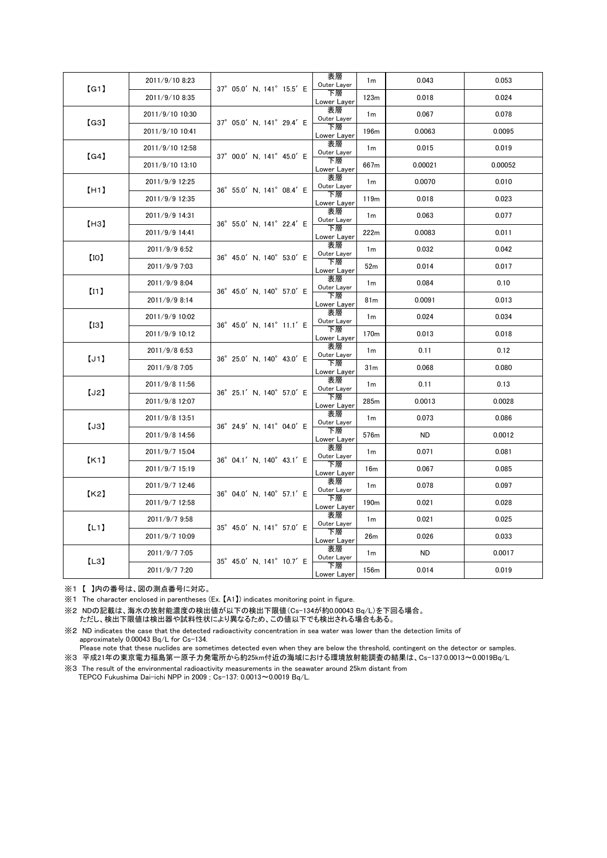| [G1] | 2011/9/10 8:23  | 37° 05.0' N, 141° 15.5' E                    | 表層<br>Outer Layer | 1 <sub>m</sub>   | 0.043     | 0.053   |
|------|-----------------|----------------------------------------------|-------------------|------------------|-----------|---------|
|      | 2011/9/10 8:35  |                                              | 下層<br>Lower Layer | 123m             | 0.018     | 0.024   |
| [G3] | 2011/9/10 10:30 | 37° 05.0' N, 141° 29.4' E                    | 表層<br>Outer Layer | 1 <sub>m</sub>   | 0.067     | 0.078   |
|      | 2011/9/10 10:41 |                                              | 下層<br>Lower Layer | 196 <sub>m</sub> | 0.0063    | 0.0095  |
| (G4) | 2011/9/10 12:58 |                                              | 表層<br>Outer Layer | 1 <sub>m</sub>   | 0.015     | 0.019   |
|      | 2011/9/10 13:10 | 37° 00.0' N. 141° 45.0' E                    | 下層<br>Lower Layer | 667m             | 0.00021   | 0.00052 |
| [H1] | 2011/9/9 12:25  | 36° 55.0' N, 141° 08.4' E                    | 表層<br>Outer Layer | 1 <sub>m</sub>   | 0.0070    | 0.010   |
|      | 2011/9/9 12:35  |                                              | 下層<br>Lower Layer | 119m             | 0.018     | 0.023   |
| [H3] | 2011/9/9 14:31  |                                              | 表層<br>Outer Layer | 1m               | 0.063     | 0.077   |
|      | 2011/9/9 14:41  | 36° 55.0' N, 141° 22.4' E                    | 下層<br>Lower Layer | 222m             | 0.0083    | 0.011   |
| [10] | 2011/9/9 6:52   |                                              | 表層<br>Outer Layer | 1 <sub>m</sub>   | 0.032     | 0.042   |
|      | 2011/9/9 7:03   | 36° 45.0' N, 140° 53.0' E                    | 下層<br>Lower Layer | 52m              | 0.014     | 0.017   |
|      | 2011/9/9 8:04   |                                              | 表層<br>Outer Layer | 1 <sub>m</sub>   | 0.084     | 0.10    |
| (11) | 2011/9/9 8:14   | $36^{\circ}$ 45.0' N, 140 $^{\circ}$ 57.0' E | 下層<br>Lower Layer | 81m              | 0.0091    | 0.013   |
| [13] | 2011/9/9 10:02  |                                              | 表層<br>Outer Layer | 1 <sub>m</sub>   | 0.024     | 0.034   |
|      | 2011/9/9 10:12  | 36° 45.0' N, 141° 11.1' E                    | 下層<br>Lower Layer | 170m             | 0.013     | 0.018   |
| [J1] | 2011/9/8 6:53   |                                              | 表層<br>Outer Layer | 1 <sub>m</sub>   | 0.11      | 0.12    |
|      | 2011/9/8 7:05   | 36° 25.0' N, 140° 43.0' E                    | 下層<br>Lower Layer | 31m              | 0.068     | 0.080   |
|      | 2011/9/8 11:56  |                                              | 表層<br>Outer Layer | 1 <sub>m</sub>   | 0.11      | 0.13    |
| [J2] | 2011/9/8 12:07  | 36° 25.1' N, 140° 57.0' E                    | 下層<br>Lower Layer | 285m             | 0.0013    | 0.0028  |
| [J3] | 2011/9/8 13:51  |                                              | 表層<br>Outer Layer | 1 <sub>m</sub>   | 0.073     | 0.086   |
|      | 2011/9/8 14:56  | 36° 24.9' N, 141° 04.0' E                    | 下層<br>Lower Layer | 576m             | ND.       | 0.0012  |
| K1   | 2011/9/7 15:04  | 36° 04.1' N, 140° 43.1' E                    | 表層<br>Outer Layer | 1 <sub>m</sub>   | 0.071     | 0.081   |
|      | 2011/9/7 15:19  |                                              | 下層<br>Lower Layer | 16m              | 0.067     | 0.085   |
| K2   | 2011/9/7 12:46  | 36° 04.0' N. 140° 57.1' E                    | 表層<br>Outer Layer | 1 <sub>m</sub>   | 0.078     | 0.097   |
|      | 2011/9/7 12:58  |                                              | 下層<br>Lower Layer | 190 <sub>m</sub> | 0.021     | 0.028   |
| (L1) | 2011/9/7 9:58   |                                              | 表層<br>Outer Layer | 1 <sub>m</sub>   | 0.021     | 0.025   |
|      | 2011/9/7 10:09  | 35° 45.0' N, 141° 57.0' E                    | 下層<br>Lower Layer | 26m              | 0.026     | 0.033   |
| [L3] | 2011/9/7 7:05   | 35° 45.0' N, 141° 10.7' E                    | 表層<br>Outer Layer | 1 <sub>m</sub>   | <b>ND</b> | 0.0017  |
|      | 2011/9/7 7:20   |                                              | 下層<br>Lower Layer | 156m             | 0.014     | 0.019   |

※1 【 】内の番号は、図の測点番号に対応。

※1 The character enclosed in parentheses (Ex. 【A1】) indicates monitoring point in figure.

※2 NDの記載は、海水の放射能濃度の検出値が以下の検出下限値(Cs-134が約0.00043 Bq/L)を下回る場合。 ただし、検出下限値は検出器や試料性状により異なるため、この値以下でも検出される場合もある。

※2 ND indicates the case that the detected radioactivity concentration in sea water was lower than the detection limits of approximately 0.00043 Bq/L for Cs-134.

Please note that these nuclides are sometimes detected even when they are below the threshold, contingent on the detector or samples.

※3 平成21年の東京電力福島第一原子力発電所から約25km付近の海域における環境放射能調査の結果は、Cs-137:0.0013~0.0019Bq/L

※3 The result of the environmental radioactivity measurements in the seawater around 25km distant from TEPCO Fukushima Dai-ichi NPP in 2009 ; Cs-137: 0.0013~0.0019 Bq/L.